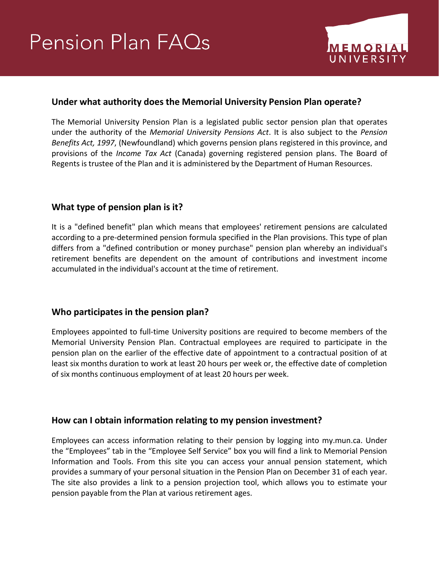# Pension Plan FAQs



# **Under what authority does the Memorial University Pension Plan operate?**

The Memorial University Pension Plan is a legislated public sector pension plan that operates under the authority of the *Memorial University Pensions Act*. It is also subject to the *Pension Benefits Act, 1997*, (Newfoundland) which governs pension plans registered in this province, and provisions of the *Income Tax Act* (Canada) governing registered pension plans. The Board of Regents is trustee of the Plan and it is administered by the Department of Human Resources.

# **What type of pension plan is it?**

It is a "defined benefit" plan which means that employees' retirement pensions are calculated according to a pre-determined pension formula specified in the Plan provisions. This type of plan differs from a "defined contribution or money purchase" pension plan whereby an individual's retirement benefits are dependent on the amount of contributions and investment income accumulated in the individual's account at the time of retirement.

# **Who participates in the pension plan?**

Employees appointed to full-time University positions are required to become members of the Memorial University Pension Plan. Contractual employees are required to participate in the pension plan on the earlier of the effective date of appointment to a contractual position of at least six months duration to work at least 20 hours per week or, the effective date of completion of six months continuous employment of at least 20 hours per week.

## **How can I obtain information relating to my pension investment?**

Employees can access information relating to their pension by logging into my.mun.ca. Under the "Employees" tab in the "Employee Self Service" box you will find a link to Memorial Pension Information and Tools. From this site you can access your annual pension statement, which provides a summary of your personal situation in the Pension Plan on December 31 of each year. The site also provides a link to a pension projection tool, which allows you to estimate your pension payable from the Plan at various retirement ages.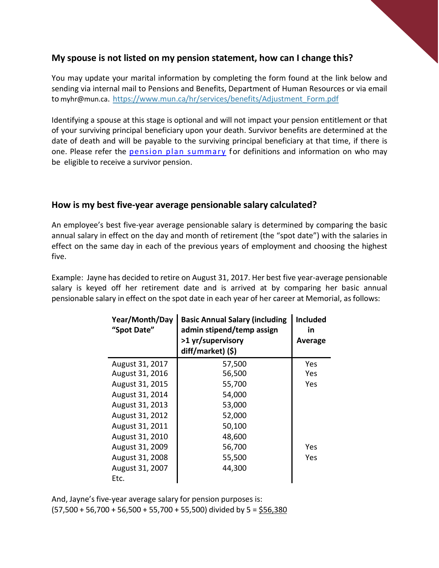## **My spouse is not listed on my pension statement, how can I change this?**

You may update your marital information by completing the form found at the link below and sending via internal mail to Pensions and Benefits, Department of Human Resources or via email to [myhr@mun.ca.](mailto:myhr@mun.ca) [https://www.mun.ca/hr/services/benefits/Adjustment\\_Form.pdf](https://www.mun.ca/hr/services/benefits/Adjustment_Form.pdf)

Identifying a spouse at this stage is optional and will not impact your pension entitlement or that of your surviving principal beneficiary upon your death. Survivor benefits are determined at the date of death and will be payable to the surviving principal beneficiary at that time, if there is one. Please refer the [pension plan summary](http://www.mun.ca/hr/services/benefits/PensionPlan_Summary20.pdf) for definitions and information on who may be eligible to receive a survivor pension.

## **How is my best five-year average pensionable salary calculated?**

An employee's best five-year average pensionable salary is determined by comparing the basic annual salary in effect on the day and month of retirement (the "spot date") with the salaries in effect on the same day in each of the previous years of employment and choosing the highest five.

Example: Jayne has decided to retire on August 31, 2017. Her best five year-average pensionable salary is keyed off her retirement date and is arrived at by comparing her basic annual pensionable salary in effect on the spot date in each year of her career at Memorial, as follows:

| <b>Year/Month/Day</b><br>"Spot Date" | <b>Basic Annual Salary (including</b><br>admin stipend/temp assign<br>>1 yr/supervisory<br>diff/market) (\$) | <b>Included</b><br>in<br>Average |
|--------------------------------------|--------------------------------------------------------------------------------------------------------------|----------------------------------|
| August 31, 2017                      | 57,500                                                                                                       | Yes                              |
| August 31, 2016                      | 56,500                                                                                                       | Yes                              |
| August 31, 2015                      | 55,700                                                                                                       | Yes                              |
| August 31, 2014                      | 54,000                                                                                                       |                                  |
| August 31, 2013                      | 53,000                                                                                                       |                                  |
| August 31, 2012                      | 52,000                                                                                                       |                                  |
| August 31, 2011                      | 50,100                                                                                                       |                                  |
| August 31, 2010                      | 48,600                                                                                                       |                                  |
| August 31, 2009                      | 56,700                                                                                                       | Yes                              |
| August 31, 2008                      | 55,500                                                                                                       | Yes                              |
| August 31, 2007                      | 44,300                                                                                                       |                                  |
| Etc.                                 |                                                                                                              |                                  |

And, Jayne's five-year average salary for pension purposes is:  $(57,500 + 56,700 + 56,500 + 55,700 + 55,500)$  divided by 5 = \$56,380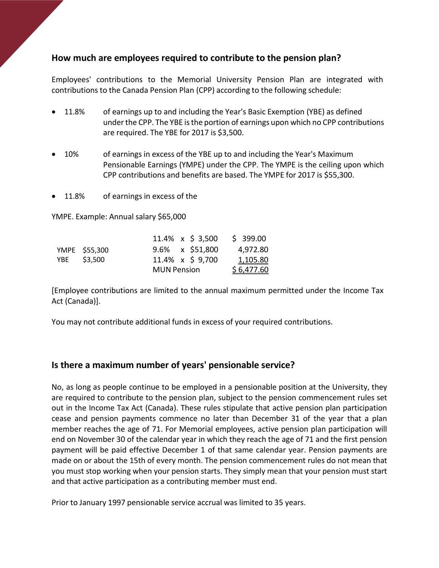# **How much are employees required to contribute to the pension plan?**

Employees' contributions to the Memorial University Pension Plan are integrated with contributions to the Canada Pension Plan (CPP) according to the following schedule:

- 11.8% of earnings up to and including the Year's Basic Exemption (YBE) as defined under the CPP. The YBE is the portion of earnings upon which no CPP contributions are required. The YBE for 2017 is \$3,500.
- 10% of earnings in excess of the YBE up to and including the Year's Maximum Pensionable Earnings (YMPE) under the CPP. The YMPE is the ceiling upon which CPP contributions and benefits are based. The YMPE for 2017 is \$55,300.
- 11.8% of earnings in excess of the

YMPE. Example: Annual salary \$65,000

|               |                    | 11.4% $\times$ \$ 3,500 | \$399.00   |
|---------------|--------------------|-------------------------|------------|
| YMPE \$55,300 |                    | $9.6\% \times$ \$51,800 | 4,972.80   |
| YBE \$3,500   |                    | 11.4% x \$ 9,700        | 1,105.80   |
|               | <b>MUN Pension</b> |                         | \$6,477.60 |

[Employee contributions are limited to the annual maximum permitted under the Income Tax Act (Canada)].

You may not contribute additional funds in excess of your required contributions.

# **Is there a maximum number of years' pensionable service?**

No, as long as people continue to be employed in a pensionable position at the University, they are required to contribute to the pension plan, subject to the pension commencement rules set out in the Income Tax Act (Canada). These rules stipulate that active pension plan participation cease and pension payments commence no later than December 31 of the year that a plan member reaches the age of 71. For Memorial employees, active pension plan participation will end on November 30 of the calendar year in which they reach the age of 71 and the first pension payment will be paid effective December 1 of that same calendar year. Pension payments are made on or about the 15th of every month. The pension commencement rules do not mean that you must stop working when your pension starts. They simply mean that your pension must start and that active participation as a contributing member must end.

Prior to January 1997 pensionable service accrual was limited to 35 years.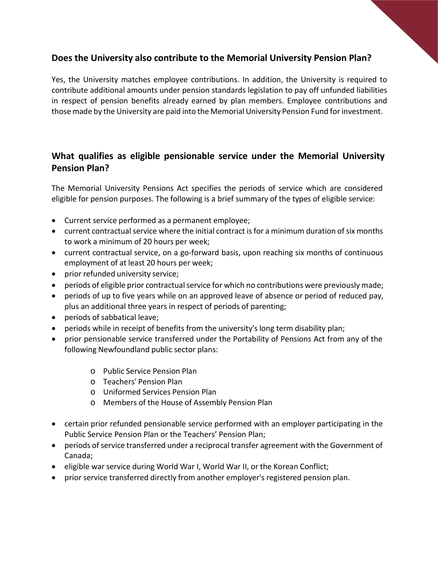# **Does the University also contribute to the Memorial University Pension Plan?**

Yes, the University matches employee contributions. In addition, the University is required to contribute additional amounts under pension standards legislation to pay off unfunded liabilities in respect of pension benefits already earned by plan members. Employee contributions and those made by the University are paid into the Memorial University Pension Fund forinvestment.

# **What qualifies as eligible pensionable service under the Memorial University Pension Plan?**

The Memorial University Pensions Act specifies the periods of service which are considered eligible for pension purposes. The following is a brief summary of the types of eligible service:

- Current service performed as a permanent employee;
- current contractual service where the initial contract is for a minimum duration of six months to work a minimum of 20 hours per week;
- current contractual service, on a go-forward basis, upon reaching six months of continuous employment of at least 20 hours per week;
- prior refunded university service;
- periods of eligible prior contractual service for which no contributions were previously made;
- periods of up to five years while on an approved leave of absence or period of reduced pay, plus an additional three years in respect of periods of parenting;
- periods of sabbatical leave;
- periods while in receipt of benefits from the university's long term disability plan;
- prior pensionable service transferred under the Portability of Pensions Act from any of the following Newfoundland public sector plans:
	- o Public Service Pension Plan
	- o Teachers' Pension Plan
	- o Uniformed Services Pension Plan
	- o Members of the House of Assembly Pension Plan
- certain prior refunded pensionable service performed with an employer participating in the Public Service Pension Plan or the Teachers' Pension Plan;
- periods of service transferred under a reciprocal transfer agreement with the Government of Canada;
- eligible war service during World War I, World War II, or the Korean Conflict;
- prior service transferred directly from another employer's registered pension plan.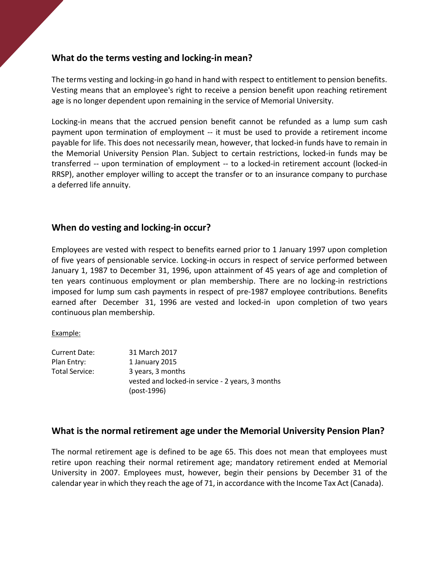# **What do the terms vesting and locking-in mean?**

The terms vesting and locking-in go hand in hand with respect to entitlement to pension benefits. Vesting means that an employee's right to receive a pension benefit upon reaching retirement age is no longer dependent upon remaining in the service of Memorial University.

Locking-in means that the accrued pension benefit cannot be refunded as a lump sum cash payment upon termination of employment -- it must be used to provide a retirement income payable for life. This does not necessarily mean, however, that locked-in funds have to remain in the Memorial University Pension Plan. Subject to certain restrictions, locked-in funds may be transferred -- upon termination of employment -- to a locked-in retirement account (locked-in RRSP), another employer willing to accept the transfer or to an insurance company to purchase a deferred life annuity.

## **When do vesting and locking-in occur?**

Employees are vested with respect to benefits earned prior to 1 January 1997 upon completion of five years of pensionable service. Locking-in occurs in respect of service performed between January 1, 1987 to December 31, 1996, upon attainment of 45 years of age and completion of ten years continuous employment or plan membership. There are no locking-in restrictions imposed for lump sum cash payments in respect of pre-1987 employee contributions. Benefits earned after December 31, 1996 are vested and locked-in upon completion of two years continuous plan membership.

#### Example:

| Current Date:  | 31 March 2017                                    |
|----------------|--------------------------------------------------|
| Plan Entry:    | 1 January 2015                                   |
| Total Service: | 3 years, 3 months                                |
|                | vested and locked-in service - 2 years, 3 months |
|                | (post-1996)                                      |

## **What is the normal retirement age under the Memorial University Pension Plan?**

The normal retirement age is defined to be age 65. This does not mean that employees must retire upon reaching their normal retirement age; mandatory retirement ended at Memorial University in 2007. Employees must, however, begin their pensions by December 31 of the calendar year in which they reach the age of 71, in accordance with the Income Tax Act (Canada).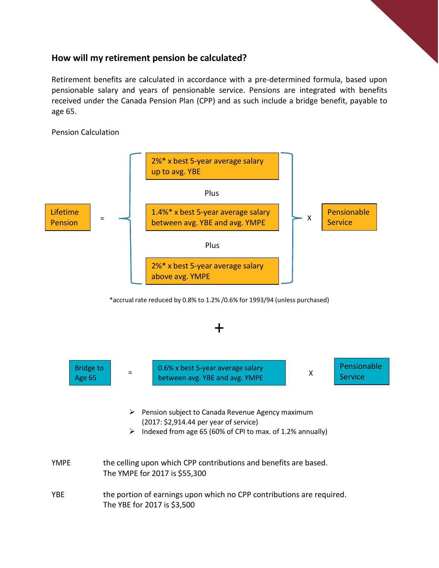# **How will my retirement pension be calculated?**

Retirement benefits are calculated in accordance with a pre-determined formula, based upon pensionable salary and years of pensionable service. Pensions are integrated with benefits received under the Canada Pension Plan (CPP) and as such include a bridge benefit, payable to age 65.

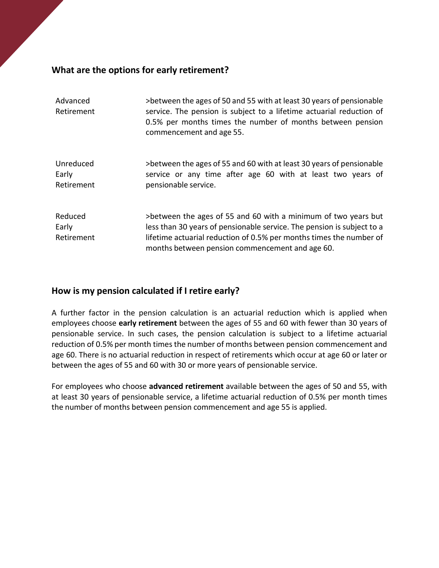# **What are the options for early retirement?**

| Advanced<br>Retirement           | >between the ages of 50 and 55 with at least 30 years of pensionable<br>service. The pension is subject to a lifetime actuarial reduction of<br>0.5% per months times the number of months between pension<br>commencement and age 55.                             |
|----------------------------------|--------------------------------------------------------------------------------------------------------------------------------------------------------------------------------------------------------------------------------------------------------------------|
| Unreduced<br>Early<br>Retirement | >between the ages of 55 and 60 with at least 30 years of pensionable<br>service or any time after age 60 with at least two years of<br>pensionable service.                                                                                                        |
| Reduced<br>Early<br>Retirement   | >between the ages of 55 and 60 with a minimum of two years but<br>less than 30 years of pensionable service. The pension is subject to a<br>lifetime actuarial reduction of 0.5% per months times the number of<br>months between pension commencement and age 60. |

# **How is my pension calculated if I retire early?**

A further factor in the pension calculation is an actuarial reduction which is applied when employees choose **early retirement** between the ages of 55 and 60 with fewer than 30 years of pensionable service. In such cases, the pension calculation is subject to a lifetime actuarial reduction of 0.5% per month times the number of months between pension commencement and age 60. There is no actuarial reduction in respect of retirements which occur at age 60 or later or between the ages of 55 and 60 with 30 or more years of pensionable service.

For employees who choose **advanced retirement** available between the ages of 50 and 55, with at least 30 years of pensionable service, a lifetime actuarial reduction of 0.5% per month times the number of months between pension commencement and age 55 is applied.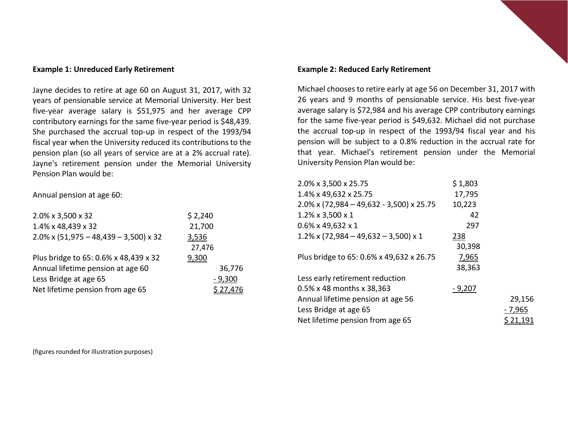#### **Example 1: Unreduced Early Retirement**

Jayne decides to retire at age 60 on August 31, 2017, with 32 years of pensionable service at Memorial University. Her best five-year average salary is \$51,975 and her average CPP contributory earnings for the same five-year period is \$48,439. She purchased the accrual top-up in respect of the 1993/94 fiscal year when the University reduced its contributions to the pension plan (so all years of service are at a 2% accrual rate). Jayne's retirement pension under the Memorial University Pension Plan would be:

Annual pension at age 60:

| 2.0% x 3,500 x 32                        | \$2,240  |
|------------------------------------------|----------|
| 1.4% x 48,439 x 32                       | 21,700   |
| $2.0\%$ x (51,975 - 48,439 - 3,500) x 32 | 3,536    |
|                                          | 27,476   |
| Plus bridge to 65: 0.6% x 48,439 x 32    | 9,300    |
| Annual lifetime pension at age 60        | 36,776   |
| Less Bridge at age 65                    | $-9,300$ |
| Net lifetime pension from age 65         | \$27.476 |
|                                          |          |

#### **Example 2: Reduced Early Retirement**

Michael chooses to retire early at age 56 on December 31, 2017 with 26 years and 9 months of pensionable service. His best five-year average salary is \$72,984 and his average CPP contributory earnings for the same five-year period is \$49,632. Michael did not purchase the accrual top-up in respect of the 1993/94 fiscal year and his pension will be subject to a 0.8% reduction in the accrual rate for that year. Michael's retirement pension under the Memorial University Pension Plan would be:

| 2.0% x 3,500 x 25.75                        | \$1,803  |         |
|---------------------------------------------|----------|---------|
| 1.4% x 49,632 x 25.75                       | 17,795   |         |
| $2.0\%$ x (72,984 - 49,632 - 3,500) x 25.75 | 10,223   |         |
| 1.2% x 3,500 x 1                            | 42       |         |
| $0.6\%$ x 49,632 x 1                        | 297      |         |
| $1.2\%$ x (72,984 - 49,632 - 3,500) x 1     | 238      |         |
|                                             | 30,398   |         |
| Plus bridge to 65: 0.6% x 49,632 x 26.75    | 7,965    |         |
|                                             | 38,363   |         |
| Less early retirement reduction             |          |         |
| 0.5% x 48 months x 38,363                   | $-9,207$ |         |
| Annual lifetime pension at age 56           |          | 29,156  |
| Less Bridge at age 65                       |          | - 7,965 |
| Net lifetime pension from age 65            |          |         |
|                                             |          |         |

(figures rounded for illustration purposes)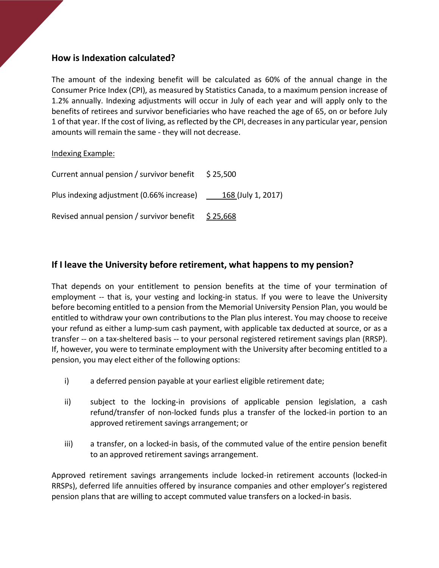# **How is Indexation calculated?**

The amount of the indexing benefit will be calculated as 60% of the annual change in the Consumer Price Index (CPI), as measured by Statistics Canada, to a maximum pension increase of 1.2% annually. Indexing adjustments will occur in July of each year and will apply only to the benefits of retirees and survivor beneficiaries who have reached the age of 65, on or before July 1 of that year. If the cost of living, as reflected by the CPI, decreases in any particular year, pension amounts will remain the same - they will not decrease.

### Indexing Example:

| Current annual pension / survivor benefit | \$ 25,500          |
|-------------------------------------------|--------------------|
| Plus indexing adjustment (0.66% increase) | 168 (July 1, 2017) |
| Revised annual pension / survivor benefit | \$25,668           |

# **If I leave the University before retirement, what happens to my pension?**

That depends on your entitlement to pension benefits at the time of your termination of employment -- that is, your vesting and locking-in status. If you were to leave the University before becoming entitled to a pension from the Memorial University Pension Plan, you would be entitled to withdraw your own contributions to the Plan plus interest. You may choose to receive your refund as either a lump-sum cash payment, with applicable tax deducted at source, or as a transfer -- on a tax-sheltered basis -- to your personal registered retirement savings plan (RRSP). If, however, you were to terminate employment with the University after becoming entitled to a pension, you may elect either of the following options:

- i) a deferred pension payable at your earliest eligible retirement date;
- ii) subject to the locking-in provisions of applicable pension legislation, a cash refund/transfer of non-locked funds plus a transfer of the locked-in portion to an approved retirement savings arrangement; or
- iii) a transfer, on a locked-in basis, of the commuted value of the entire pension benefit to an approved retirement savings arrangement.

Approved retirement savings arrangements include locked-in retirement accounts (locked-in RRSPs), deferred life annuities offered by insurance companies and other employer's registered pension plans that are willing to accept commuted value transfers on a locked-in basis.